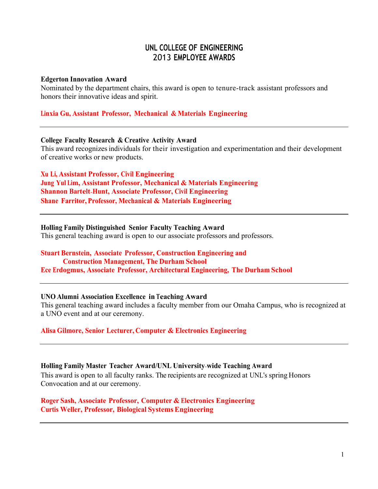# **UNL COLLEGE OF ENGINEERING** 2013 **EMPLOYEE AWARDS**

#### **Edgerton Innovation Award**

Nominated by the department chairs, this award is open to tenure-track assistant professors and honors their innovative ideas and spirit.

### **Linxia Gu, Assistant Professor, Mechanical & Materials Engineering**

#### **College Faculty Research & Creative Activity Award**

This award recognizes individuals for their investigation and experimentation and their development of creative works or new products.

**Xu Li, Assistant Professor, Civil Engineering Jung Yul Lim, Assistant Professor, Mechanical & Materials Engineering Shannon Bartelt‐Hunt, Associate Professor, Civil Engineering Shane Farritor, Professor, Mechanical & Materials Engineering**

#### **Holling Family Distinguished Senior Faculty Teaching Award**

This general teaching award is open to our associate professors and professors.

## **Stuart Bernstein, Associate Professor, Construction Engineering and**

**Construction Management, The Durham School Ece Erdogmus, Associate Professor, Architectural Engineering, The Durham School**

### **UNO Alumni Association Excellence in Teaching Award**

This general teaching award includes a faculty member from our Omaha Campus, who is recognized at a UNO event and at our ceremony.

### **Alisa Gilmore, Senior Lecturer, Computer & Electronics Engineering**

### **Holling Family Master Teacher Award/UNL University‐wide Teaching Award**

This award is open to all faculty ranks. The recipients are recognized at UNL's spring Honors Convocation and at our ceremony.

## **Roger Sash, Associate Professor, Computer & Electronics Engineering Curtis Weller, Professor, Biological Systems Engineering**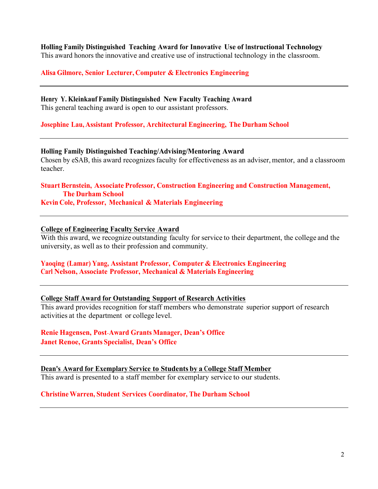**Holling Family Distinguished Teaching Award for Innovative Use of Instructional Technology**

This award honors the innovative and creative use of instructional technology in the classroom.

**Alisa Gilmore, Senior Lecturer, Computer & Electronics Engineering**

**Henry Y. Kleinkauf Family Distinguished New Faculty Teaching Award**  This general teaching award is open to our assistant professors.

**Josephine Lau, Assistant Professor, Architectural Engineering, The Durham School**

**Holling Family Distinguished Teaching/Advising/Mentoring Award** Chosen by eSAB, this award recognizes faculty for effectiveness as an adviser, mentor, and a classroom teacher.

**Stuart Bernstein, Associate Professor, Construction Engineering and Construction Management, The Durham School Kevin Cole, Professor, Mechanical & Materials Engineering**

#### **College of Engineering Faculty Service Award**

With this award, we recognize outstanding faculty for service to their department, the college and the university, as well as to their profession and community.

### **Yaoqing (Lamar) Yang, Assistant Professor, Computer & Electronics Engineering Carl Nelson, Associate Professor, Mechanical & Materials Engineering**

### **College Staff Award for Outstanding Support of Research Activities**

This award provides recognition forstaff members who demonstrate superior support of research activities at the department or college level.

## **Renie Hagensen, Post‐Award Grants Manager, Dean's Office Janet Renoe, Grants Specialist, Dean's Office**

## **Dean's Award for Exemplary Service to Students by a College Staff Member**

This award is presented to a staff member for exemplary service to our students.

### **Christine Warren, Student Services Coordinator, The Durham School**